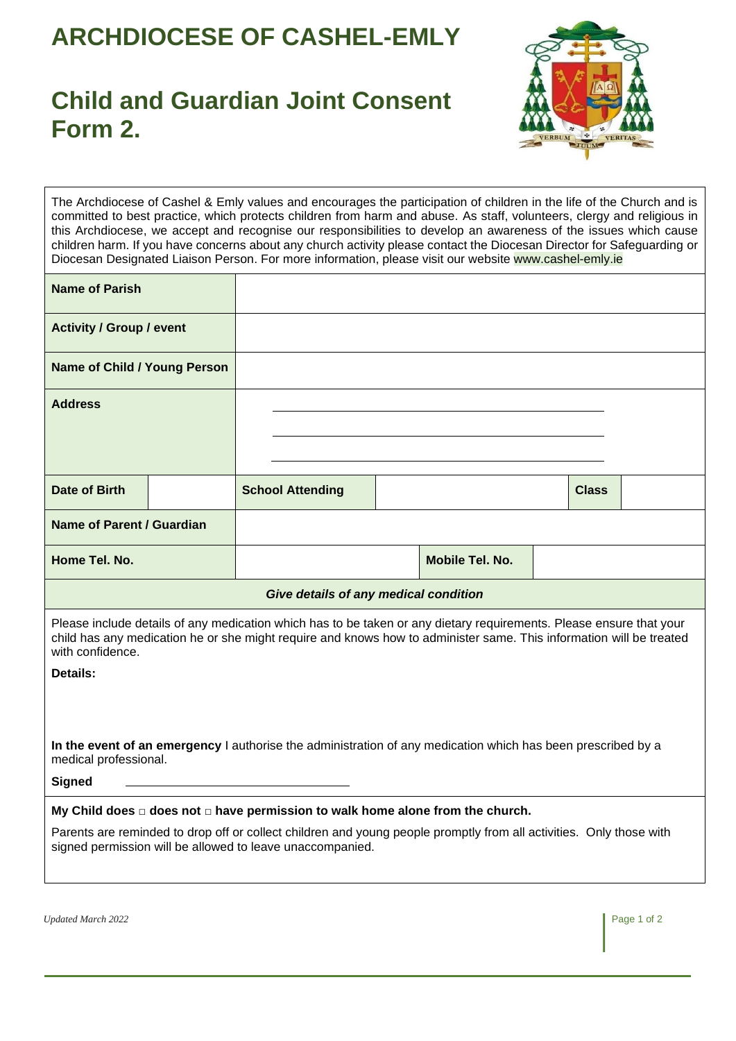## **ARCHDIOCESE OF CASHEL-EMLY**

## **Child and Guardian Joint Consent Form 2.**



The Archdiocese of Cashel & Emly values and encourages the participation of children in the life of the Church and is committed to best practice, which protects children from harm and abuse. As staff, volunteers, clergy and religious in this Archdiocese, we accept and recognise our responsibilities to develop an awareness of the issues which cause children harm. If you have concerns about any church activity please contact the Diocesan Director for Safeguarding or Diocesan Designated Liaison Person. For more information, please visit our website www.cashel-emly.ie

| <b>Name of Parish</b>                                                                                                                                                                                                                                          |  |                         |  |                 |  |              |  |  |
|----------------------------------------------------------------------------------------------------------------------------------------------------------------------------------------------------------------------------------------------------------------|--|-------------------------|--|-----------------|--|--------------|--|--|
| <b>Activity / Group / event</b>                                                                                                                                                                                                                                |  |                         |  |                 |  |              |  |  |
| Name of Child / Young Person                                                                                                                                                                                                                                   |  |                         |  |                 |  |              |  |  |
| <b>Address</b>                                                                                                                                                                                                                                                 |  |                         |  |                 |  |              |  |  |
|                                                                                                                                                                                                                                                                |  |                         |  |                 |  |              |  |  |
| Date of Birth                                                                                                                                                                                                                                                  |  | <b>School Attending</b> |  |                 |  | <b>Class</b> |  |  |
| <b>Name of Parent / Guardian</b>                                                                                                                                                                                                                               |  |                         |  |                 |  |              |  |  |
| Home Tel. No.                                                                                                                                                                                                                                                  |  |                         |  | Mobile Tel. No. |  |              |  |  |
| Give details of any medical condition                                                                                                                                                                                                                          |  |                         |  |                 |  |              |  |  |
| Please include details of any medication which has to be taken or any dietary requirements. Please ensure that your<br>child has any medication he or she might require and knows how to administer same. This information will be treated<br>with confidence. |  |                         |  |                 |  |              |  |  |
| <b>Details:</b>                                                                                                                                                                                                                                                |  |                         |  |                 |  |              |  |  |
| In the event of an emergency I authorise the administration of any medication which has been prescribed by a                                                                                                                                                   |  |                         |  |                 |  |              |  |  |
| medical professional.                                                                                                                                                                                                                                          |  |                         |  |                 |  |              |  |  |
| <b>Signed</b>                                                                                                                                                                                                                                                  |  |                         |  |                 |  |              |  |  |
| My Child does $\Box$ does not $\Box$ have permission to walk home alone from the church.                                                                                                                                                                       |  |                         |  |                 |  |              |  |  |

Parents are reminded to drop off or collect children and young people promptly from all activities. Only those with signed permission will be allowed to leave unaccompanied.

*Updated March 2022* Page 1 of 2